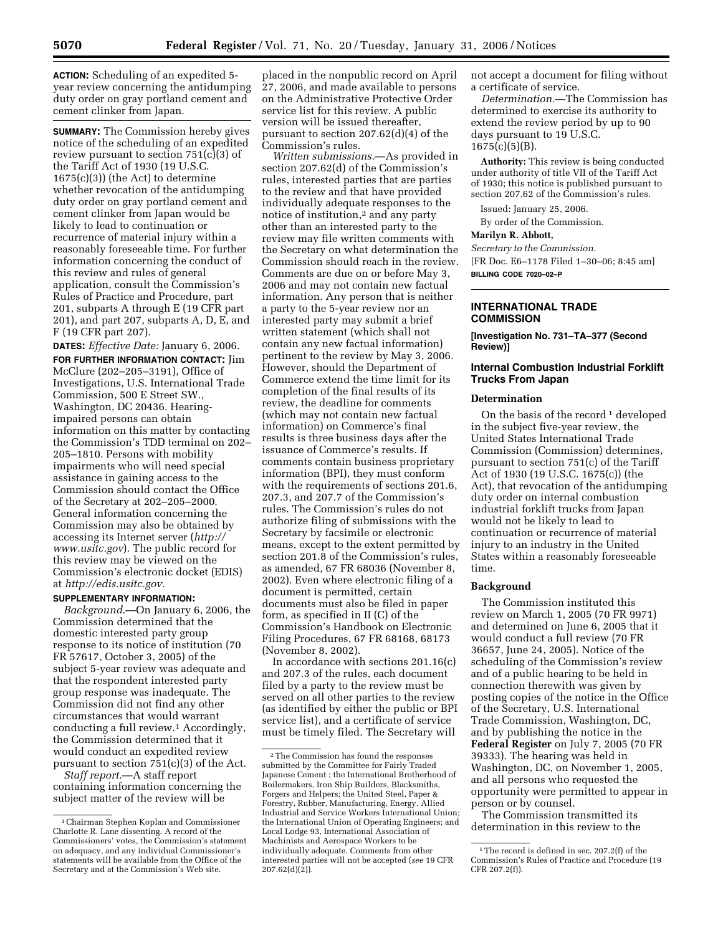**ACTION:** Scheduling of an expedited 5 year review concerning the antidumping duty order on gray portland cement and cement clinker from Japan.

**SUMMARY:** The Commission hereby gives notice of the scheduling of an expedited review pursuant to section 751(c)(3) of the Tariff Act of 1930 (19 U.S.C. 1675(c)(3)) (the Act) to determine whether revocation of the antidumping duty order on gray portland cement and cement clinker from Japan would be likely to lead to continuation or recurrence of material injury within a reasonably foreseeable time. For further information concerning the conduct of this review and rules of general application, consult the Commission's Rules of Practice and Procedure, part 201, subparts A through E (19 CFR part 201), and part 207, subparts A, D, E, and F (19 CFR part 207).

**DATES:** *Effective Date:* January 6, 2006. **FOR FURTHER INFORMATION CONTACT:** Jim McClure (202–205–3191), Office of Investigations, U.S. International Trade Commission, 500 E Street SW., Washington, DC 20436. Hearingimpaired persons can obtain information on this matter by contacting the Commission's TDD terminal on 202– 205–1810. Persons with mobility impairments who will need special assistance in gaining access to the Commission should contact the Office of the Secretary at 202–205–2000. General information concerning the Commission may also be obtained by accessing its Internet server (*http:// www.usitc.gov*). The public record for this review may be viewed on the Commission's electronic docket (EDIS) at *http://edis.usitc.gov.* 

# **SUPPLEMENTARY INFORMATION:**

*Background*.—On January 6, 2006, the Commission determined that the domestic interested party group response to its notice of institution (70 FR 57617, October 3, 2005) of the subject 5-year review was adequate and that the respondent interested party group response was inadequate. The Commission did not find any other circumstances that would warrant conducting a full review.1 Accordingly, the Commission determined that it would conduct an expedited review pursuant to section 751(c)(3) of the Act.

*Staff report.*—A staff report containing information concerning the subject matter of the review will be

placed in the nonpublic record on April 27, 2006, and made available to persons on the Administrative Protective Order service list for this review. A public version will be issued thereafter, pursuant to section 207.62(d)(4) of the Commission's rules.

*Written submissions.*—As provided in section 207.62(d) of the Commission's rules, interested parties that are parties to the review and that have provided individually adequate responses to the notice of institution,<sup>2</sup> and any party other than an interested party to the review may file written comments with the Secretary on what determination the Commission should reach in the review. Comments are due on or before May 3, 2006 and may not contain new factual information. Any person that is neither a party to the 5-year review nor an interested party may submit a brief written statement (which shall not contain any new factual information) pertinent to the review by May 3, 2006. However, should the Department of Commerce extend the time limit for its completion of the final results of its review, the deadline for comments (which may not contain new factual information) on Commerce's final results is three business days after the issuance of Commerce's results. If comments contain business proprietary information (BPI), they must conform with the requirements of sections 201.6, 207.3, and 207.7 of the Commission's rules. The Commission's rules do not authorize filing of submissions with the Secretary by facsimile or electronic means, except to the extent permitted by section 201.8 of the Commission's rules, as amended, 67 FR 68036 (November 8, 2002). Even where electronic filing of a document is permitted, certain documents must also be filed in paper form, as specified in II (C) of the Commission's Handbook on Electronic Filing Procedures, 67 FR 68168, 68173 (November 8, 2002).

In accordance with sections 201.16(c) and 207.3 of the rules, each document filed by a party to the review must be served on all other parties to the review (as identified by either the public or BPI service list), and a certificate of service must be timely filed. The Secretary will

not accept a document for filing without a certificate of service.

*Determination.*—The Commission has determined to exercise its authority to extend the review period by up to 90 days pursuant to 19 U.S.C.  $1675(c)(5)(B)$ .

**Authority:** This review is being conducted under authority of title VII of the Tariff Act of 1930; this notice is published pursuant to section 207.62 of the Commission's rules.

Issued: January 25, 2006.

By order of the Commission.

## **Marilyn R. Abbott,**

*Secretary to the Commission.* 

[FR Doc. E6–1178 Filed 1–30–06; 8:45 am] **BILLING CODE 7020–02–P** 

## **INTERNATIONAL TRADE COMMISSION**

**[Investigation No. 731–TA–377 (Second Review)]** 

## **Internal Combustion Industrial Forklift Trucks From Japan**

### **Determination**

On the basis of the record<sup>1</sup> developed in the subject five-year review, the United States International Trade Commission (Commission) determines, pursuant to section 751(c) of the Tariff Act of 1930 (19 U.S.C. 1675(c)) (the Act), that revocation of the antidumping duty order on internal combustion industrial forklift trucks from Japan would not be likely to lead to continuation or recurrence of material injury to an industry in the United States within a reasonably foreseeable time.

### **Background**

The Commission instituted this review on March 1, 2005 (70 FR 9971) and determined on June 6, 2005 that it would conduct a full review (70 FR 36657, June 24, 2005). Notice of the scheduling of the Commission's review and of a public hearing to be held in connection therewith was given by posting copies of the notice in the Office of the Secretary, U.S. International Trade Commission, Washington, DC, and by publishing the notice in the **Federal Register** on July 7, 2005 (70 FR 39333). The hearing was held in Washington, DC, on November 1, 2005, and all persons who requested the opportunity were permitted to appear in person or by counsel.

The Commission transmitted its determination in this review to the

<sup>1</sup>Chairman Stephen Koplan and Commissioner Charlotte R. Lane dissenting. A record of the Commissioners' votes, the Commission's statement on adequacy, and any individual Commissioner's statements will be available from the Office of the Secretary and at the Commission's Web site.

<sup>2</sup>The Commission has found the responses submitted by the Committee for Fairly Traded Japanese Cement ; the International Brotherhood of Boilermakers, Iron Ship Builders, Blacksmiths, Forgers and Helpers; the United Steel, Paper & Forestry, Rubber, Manufacturing, Energy, Allied Industrial and Service Workers International Union; the International Union of Operating Engineers; and Local Lodge 93, International Association of Machinists and Aerospace Workers to be individually adequate. Comments from other interested parties will not be accepted (*see* 19 CFR  $207.62(d)(2)$ ).

 $^{\rm 1}\!$  The record is defined in sec. 207.2(f) of the Commission's Rules of Practice and Procedure (19 CFR 207.2(f)).